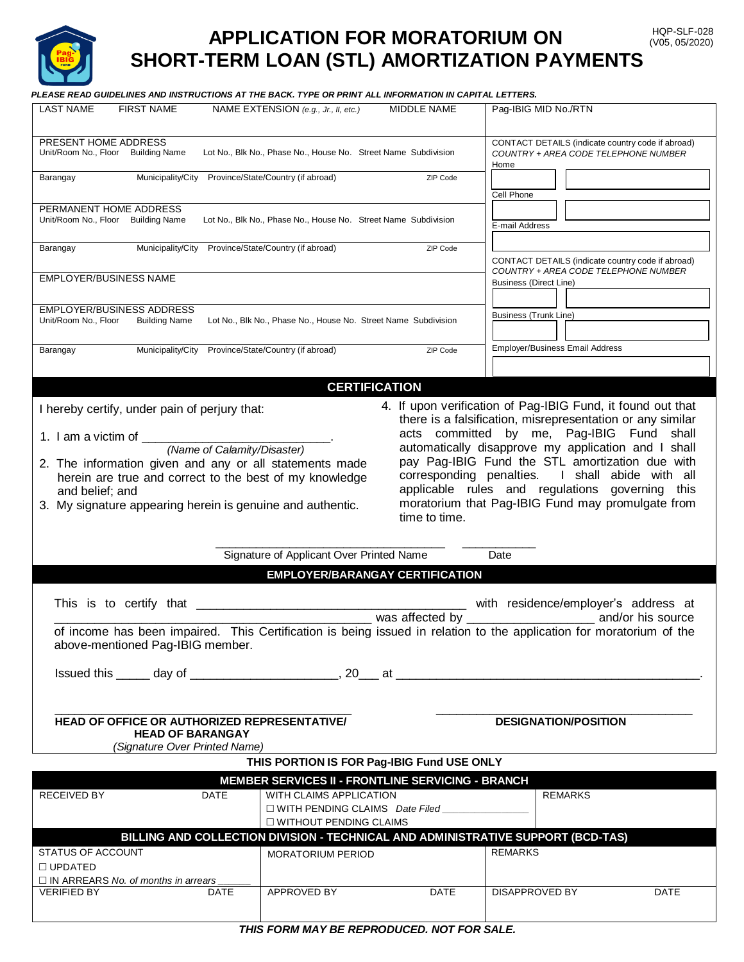

# **APPLICATION FOR MORATORIUM ON** HOP-SLF-028 (V05, 05/2020) **SHORT-TERM LOAN (STL) AMORTIZATION PAYMENTS**

 *PLEASE READ GUIDELINES AND INSTRUCTIONS AT THE BACK. TYPE OR PRINT ALL INFORMATION IN CAPITAL LETTERS.*

| <b>LAST NAME</b><br><b>FIRST NAME</b>                                                                                                                                                                                         | NAME EXTENSION (e.g., Jr., II, etc.)                     | MIDDLE NAME     | Pag-IBIG MID No./RTN                                                                              |      |  |
|-------------------------------------------------------------------------------------------------------------------------------------------------------------------------------------------------------------------------------|----------------------------------------------------------|-----------------|---------------------------------------------------------------------------------------------------|------|--|
|                                                                                                                                                                                                                               |                                                          |                 |                                                                                                   |      |  |
| PRESENT HOME ADDRESS<br>Unit/Room No., Floor Building Name<br>Lot No., Blk No., Phase No., House No. Street Name Subdivision                                                                                                  |                                                          |                 | CONTACT DETAILS (indicate country code if abroad)<br>COUNTRY + AREA CODE TELEPHONE NUMBER<br>Home |      |  |
| Municipality/City Province/State/Country (if abroad)<br>Barangay<br>ZIP Code                                                                                                                                                  |                                                          |                 | Cell Phone                                                                                        |      |  |
| PERMANENT HOME ADDRESS                                                                                                                                                                                                        |                                                          |                 |                                                                                                   |      |  |
| Unit/Room No., Floor Building Name<br>Lot No., Blk No., Phase No., House No. Street Name Subdivision                                                                                                                          |                                                          |                 | E-mail Address                                                                                    |      |  |
| Municipality/City Province/State/Country (if abroad)<br>ZIP Code<br>Barangay                                                                                                                                                  |                                                          |                 | CONTACT DETAILS (indicate country code if abroad)                                                 |      |  |
| <b>EMPLOYER/BUSINESS NAME</b>                                                                                                                                                                                                 |                                                          |                 | COUNTRY + AREA CODE TELEPHONE NUMBER<br><b>Business (Direct Line)</b>                             |      |  |
| EMPLOYER/BUSINESS ADDRESS                                                                                                                                                                                                     |                                                          |                 |                                                                                                   |      |  |
| Unit/Room No., Floor<br>Lot No., Blk No., Phase No., House No. Street Name Subdivision<br><b>Building Name</b>                                                                                                                |                                                          |                 | Business (Trunk Line)                                                                             |      |  |
| Municipality/City<br>Barangay                                                                                                                                                                                                 | Province/State/Country (if abroad)                       | ZIP Code        | <b>Employer/Business Email Address</b>                                                            |      |  |
|                                                                                                                                                                                                                               | <b>CERTIFICATION</b>                                     |                 |                                                                                                   |      |  |
|                                                                                                                                                                                                                               |                                                          |                 |                                                                                                   |      |  |
| 4. If upon verification of Pag-IBIG Fund, it found out that<br>I hereby certify, under pain of perjury that:<br>there is a falsification, misrepresentation or any similar<br>by me, Pag-IBIG Fund<br>acts committed<br>shall |                                                          |                 |                                                                                                   |      |  |
| (Name of Calamity/Disaster)                                                                                                                                                                                                   |                                                          |                 | automatically disapprove my application and I shall                                               |      |  |
|                                                                                                                                                                                                                               |                                                          |                 |                                                                                                   |      |  |
| 2. The information given and any or all statements made                                                                                                                                                                       |                                                          |                 | pay Pag-IBIG Fund the STL amortization due with                                                   |      |  |
| herein are true and correct to the best of my knowledge                                                                                                                                                                       |                                                          |                 | corresponding penalties. I shall abide with all                                                   |      |  |
| and belief; and                                                                                                                                                                                                               |                                                          |                 | applicable rules and regulations governing this                                                   |      |  |
| moratorium that Pag-IBIG Fund may promulgate from<br>3. My signature appearing herein is genuine and authentic.                                                                                                               |                                                          |                 |                                                                                                   |      |  |
|                                                                                                                                                                                                                               |                                                          | time to time.   |                                                                                                   |      |  |
|                                                                                                                                                                                                                               | Signature of Applicant Over Printed Name                 |                 | Date                                                                                              |      |  |
|                                                                                                                                                                                                                               | <b>EMPLOYER/BARANGAY CERTIFICATION</b>                   |                 |                                                                                                   |      |  |
|                                                                                                                                                                                                                               |                                                          | was affected by | with residence/employer's address at<br>and/or his source                                         |      |  |
| of income has been impaired. This Certification is being issued in relation to the application for moratorium of the                                                                                                          |                                                          |                 |                                                                                                   |      |  |
| above-mentioned Pag-IBIG member.                                                                                                                                                                                              |                                                          |                 |                                                                                                   |      |  |
|                                                                                                                                                                                                                               |                                                          |                 |                                                                                                   |      |  |
|                                                                                                                                                                                                                               |                                                          |                 |                                                                                                   |      |  |
|                                                                                                                                                                                                                               |                                                          |                 |                                                                                                   |      |  |
| HEAD OF OFFICE OR AUTHORIZED REPRESENTATIVE/                                                                                                                                                                                  |                                                          |                 | <b>DESIGNATION/POSITION</b>                                                                       |      |  |
| <b>HEAD OF BARANGAY</b><br>(Signature Over Printed Name)                                                                                                                                                                      |                                                          |                 |                                                                                                   |      |  |
|                                                                                                                                                                                                                               |                                                          |                 |                                                                                                   |      |  |
|                                                                                                                                                                                                                               | THIS PORTION IS FOR Pag-IBIG Fund USE ONLY               |                 |                                                                                                   |      |  |
|                                                                                                                                                                                                                               | <b>MEMBER SERVICES II - FRONTLINE SERVICING - BRANCH</b> |                 |                                                                                                   |      |  |
| RECEIVED BY<br><b>DATE</b>                                                                                                                                                                                                    | WITH CLAIMS APPLICATION                                  |                 | <b>REMARKS</b>                                                                                    |      |  |
| $\Box$ WITH PENDING CLAIMS Date Filed                                                                                                                                                                                         |                                                          |                 |                                                                                                   |      |  |
|                                                                                                                                                                                                                               | □ WITHOUT PENDING CLAIMS                                 |                 |                                                                                                   |      |  |
|                                                                                                                                                                                                                               |                                                          |                 | BILLING AND COLLECTION DIVISION - TECHNICAL AND ADMINISTRATIVE SUPPORT (BCD-TAS)                  |      |  |
| <b>STATUS OF ACCOUNT</b>                                                                                                                                                                                                      |                                                          |                 |                                                                                                   |      |  |
|                                                                                                                                                                                                                               | MORATORIUM PERIOD                                        |                 | <b>REMARKS</b>                                                                                    |      |  |
| $\Box$ UPDATED                                                                                                                                                                                                                |                                                          |                 |                                                                                                   |      |  |
| $\Box$ IN ARREARS No. of months in arrears                                                                                                                                                                                    |                                                          |                 |                                                                                                   |      |  |
| <b>VERIFIED BY</b><br>DATE                                                                                                                                                                                                    | APPROVED BY                                              | DATE            | DISAPPROVED BY                                                                                    | DATE |  |

*THIS FORM MAY BE REPRODUCED. NOT FOR SALE.*